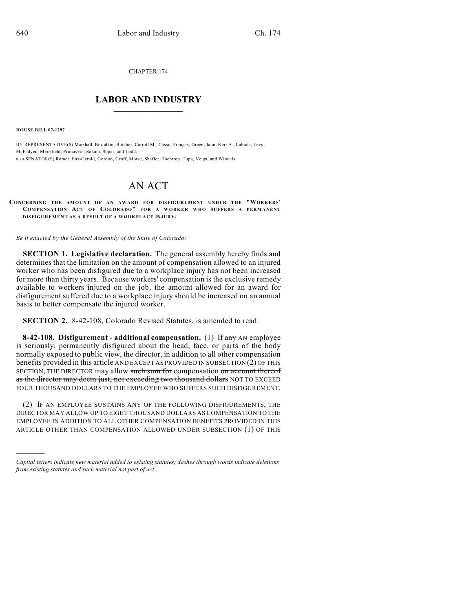CHAPTER 174

## $\mathcal{L}_\text{max}$  . The set of the set of the set of the set of the set of the set of the set of the set of the set of the set of the set of the set of the set of the set of the set of the set of the set of the set of the set **LABOR AND INDUSTRY**  $\frac{1}{\sqrt{2}}$  ,  $\frac{1}{\sqrt{2}}$  ,  $\frac{1}{\sqrt{2}}$  ,  $\frac{1}{\sqrt{2}}$  ,  $\frac{1}{\sqrt{2}}$  ,  $\frac{1}{\sqrt{2}}$

**HOUSE BILL 07-1297**

)))))

BY REPRESENTATIVE(S) Marshall, Borodkin, Butcher, Carroll M., Casso, Frangas, Green, Jahn, Kerr A., Labuda, Levy, McFadyen, Merrifield, Primavera, Solano, Soper, and Todd; also SENATOR(S) Romer, Fitz-Gerald, Gordon, Groff, Morse, Shaffer, Tochtrop, Tupa, Veiga, and Windels.

## AN ACT

**CONCERNING THE AMOUNT OF AN AWARD FOR DISFIGUREMENT UNDER THE "WORKERS' COM PENSATION ACT OF COLORADO" FOR A WORKER WHO SUFFERS A PERMANENT DISFIGUREMENT AS A RESULT OF A WORKPLACE INJURY.**

*Be it enacted by the General Assembly of the State of Colorado:*

**SECTION 1. Legislative declaration.** The general assembly hereby finds and determines that the limitation on the amount of compensation allowed to an injured worker who has been disfigured due to a workplace injury has not been increased for more than thirty years. Because workers' compensation is the exclusive remedy available to workers injured on the job, the amount allowed for an award for disfigurement suffered due to a workplace injury should be increased on an annual basis to better compensate the injured worker.

**SECTION 2.** 8-42-108, Colorado Revised Statutes, is amended to read:

**8-42-108. Disfigurement - additional compensation.** (1) If any AN employee is seriously, permanently disfigured about the head, face, or parts of the body normally exposed to public view, the director, in addition to all other compensation benefits provided in this article AND EXCEPT AS PROVIDED IN SUBSECTION (2) OF THIS SECTION, THE DIRECTOR may allow such sum for compensation on account thereof as the director may deem just, not exceeding two thousand dollars NOT TO EXCEED FOUR THOUSAND DOLLARS TO THE EMPLOYEE WHO SUFFERS SUCH DISFIGUREMENT.

(2) IF AN EMPLOYEE SUSTAINS ANY OF THE FOLLOWING DISFIGUREMENTS, THE DIRECTOR MAY ALLOW UP TO EIGHT THOUSAND DOLLARS AS COMPENSATION TO THE EMPLOYEE IN ADDITION TO ALL OTHER COMPENSATION BENEFITS PROVIDED IN THIS ARTICLE OTHER THAN COMPENSATION ALLOWED UNDER SUBSECTION (1) OF THIS

*Capital letters indicate new material added to existing statutes; dashes through words indicate deletions from existing statutes and such material not part of act.*